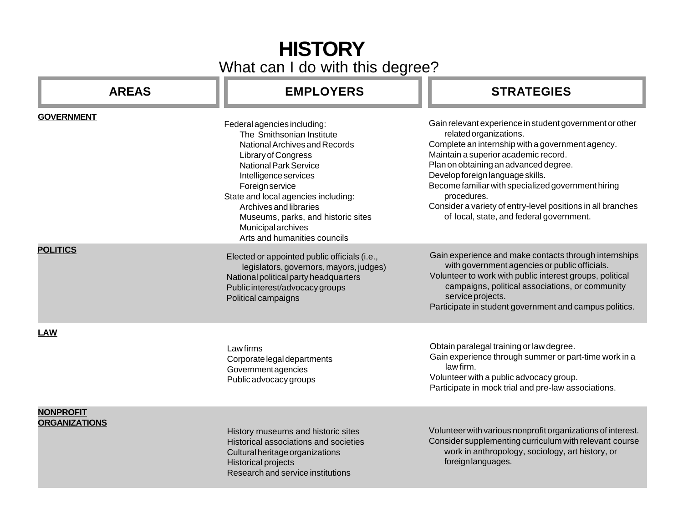## **HISTORY** What can I do with this degree?

| <b>AREAS</b>                             | <b>EMPLOYERS</b>                                                                                                                                                                                                                                                                                                                                                 | <b>STRATEGIES</b>                                                                                                                                                                                                                                                                                                                                                                                                                          |
|------------------------------------------|------------------------------------------------------------------------------------------------------------------------------------------------------------------------------------------------------------------------------------------------------------------------------------------------------------------------------------------------------------------|--------------------------------------------------------------------------------------------------------------------------------------------------------------------------------------------------------------------------------------------------------------------------------------------------------------------------------------------------------------------------------------------------------------------------------------------|
| <b>GOVERNMENT</b>                        | Federal agencies including:<br>The Smithsonian Institute<br>National Archives and Records<br>Library of Congress<br><b>National Park Service</b><br>Intelligence services<br>Foreign service<br>State and local agencies including:<br>Archives and libraries<br>Museums, parks, and historic sites<br><b>Municipal archives</b><br>Arts and humanities councils | Gain relevant experience in student government or other<br>related organizations.<br>Complete an internship with a government agency.<br>Maintain a superior academic record.<br>Plan on obtaining an advanced degree.<br>Develop foreign language skills.<br>Become familiar with specialized government hiring<br>procedures.<br>Consider a variety of entry-level positions in all branches<br>of local, state, and federal government. |
| <b>POLITICS</b>                          | Elected or appointed public officials (i.e.,<br>legislators, governors, mayors, judges)<br>National political party headquarters<br>Public interest/advocacy groups<br>Political campaigns                                                                                                                                                                       | Gain experience and make contacts through internships<br>with government agencies or public officials.<br>Volunteer to work with public interest groups, political<br>campaigns, political associations, or community<br>service projects.<br>Participate in student government and campus politics.                                                                                                                                       |
| <b>LAW</b>                               | Lawfirms<br>Corporate legal departments<br>Government agencies<br>Public advocacy groups                                                                                                                                                                                                                                                                         | Obtain paralegal training or law degree.<br>Gain experience through summer or part-time work in a<br>law firm.<br>Volunteer with a public advocacy group.<br>Participate in mock trial and pre-law associations.                                                                                                                                                                                                                           |
| <b>NONPROFIT</b><br><b>ORGANIZATIONS</b> | History museums and historic sites<br>Historical associations and societies<br>Cultural heritage organizations<br>Historical projects<br>Research and service institutions                                                                                                                                                                                       | Volunteer with various nonprofit organizations of interest.<br>Consider supplementing curriculum with relevant course<br>work in anthropology, sociology, art history, or<br>foreign languages.                                                                                                                                                                                                                                            |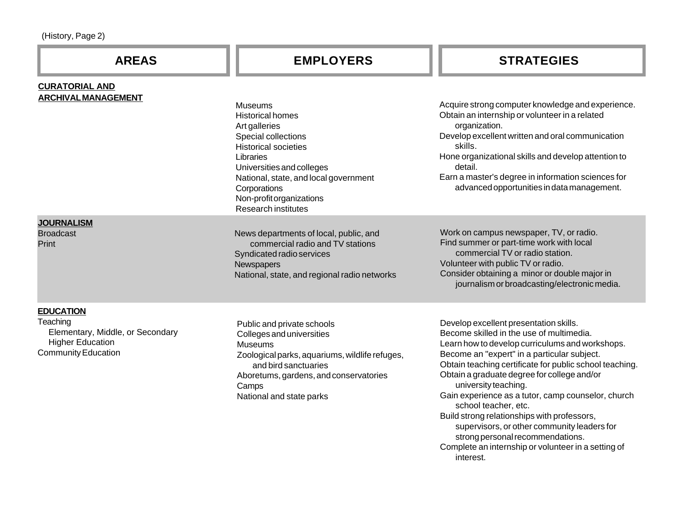| (History, Page 2) |  |
|-------------------|--|
|-------------------|--|

| <b>AREAS</b>                                                                                                              | <b>EMPLOYERS</b>                                                                                                                                                                                                                                                              | <b>STRATEGIES</b>                                                                                                                                                                                                                                                                                                                                                                                                                                                                                                                      |
|---------------------------------------------------------------------------------------------------------------------------|-------------------------------------------------------------------------------------------------------------------------------------------------------------------------------------------------------------------------------------------------------------------------------|----------------------------------------------------------------------------------------------------------------------------------------------------------------------------------------------------------------------------------------------------------------------------------------------------------------------------------------------------------------------------------------------------------------------------------------------------------------------------------------------------------------------------------------|
| <b>CURATORIAL AND</b><br><b>ARCHIVAL MANAGEMENT</b>                                                                       | <b>Museums</b><br><b>Historical homes</b><br>Art galleries<br>Special collections<br><b>Historical societies</b><br>Libraries<br>Universities and colleges<br>National, state, and local government<br>Corporations<br>Non-profit organizations<br><b>Research institutes</b> | Acquire strong computer knowledge and experience.<br>Obtain an internship or volunteer in a related<br>organization.<br>Develop excellent written and oral communication<br>skills.<br>Hone organizational skills and develop attention to<br>detail.<br>Earn a master's degree in information sciences for<br>advanced opportunities in data management.                                                                                                                                                                              |
| <b>JOURNALISM</b><br><b>Broadcast</b><br>Print                                                                            | News departments of local, public, and<br>commercial radio and TV stations<br>Syndicated radio services<br><b>Newspapers</b><br>National, state, and regional radio networks                                                                                                  | Work on campus newspaper, TV, or radio.<br>Find summer or part-time work with local<br>commercial TV or radio station.<br>Volunteer with public TV or radio.<br>Consider obtaining a minor or double major in<br>journalism or broadcasting/electronic media.                                                                                                                                                                                                                                                                          |
| <b>EDUCATION</b><br>Teaching<br>Elementary, Middle, or Secondary<br><b>Higher Education</b><br><b>Community Education</b> | Public and private schools<br>Colleges and universities<br><b>Museums</b><br>Zoological parks, aquariums, wildlife refuges,<br>and bird sanctuaries<br>Aboretums, gardens, and conservatories<br>Camps<br>National and state parks                                            | Develop excellent presentation skills.<br>Become skilled in the use of multimedia.<br>Learn how to develop curriculums and workshops.<br>Become an "expert" in a particular subject.<br>Obtain teaching certificate for public school teaching.<br>Obtain a graduate degree for college and/or<br>university teaching.<br>Gain experience as a tutor, camp counselor, church<br>school teacher, etc.<br>Build strong relationships with professors,<br>supervisors, or other community leaders for<br>strong personal recommendations. |

Complete an internship or volunteer in a setting of interest.